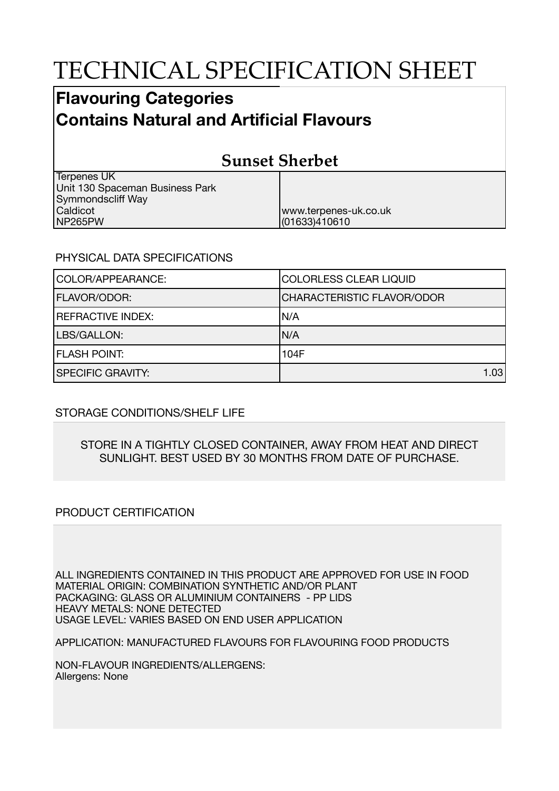# TECHNICAL SPECIFICATION SHEET

## **Flavouring Categories Contains Natural and Artificial Flavours**

## **Sunset Sherbet**

www.terpenes-uk.co.uk

(01633)410610

Terpenes UK Unit 130 Spaceman Business Park Symmondscliff Way Caldicot NP265PW

### PHYSICAL DATA SPECIFICATIONS

| COLOR/APPEARANCE:        | <b>COLORLESS CLEAR LIQUID</b>     |
|--------------------------|-----------------------------------|
| <b>FLAVOR/ODOR:</b>      | <b>CHARACTERISTIC FLAVOR/ODOR</b> |
| <b>REFRACTIVE INDEX:</b> | IN/A                              |
| LBS/GALLON:              | IN/A                              |
| <b>FLASH POINT:</b>      | 104F                              |
| <b>SPECIFIC GRAVITY:</b> | 1.03                              |

### STORAGE CONDITIONS/SHELF LIFE

#### STORE IN A TIGHTLY CLOSED CONTAINER, AWAY FROM HEAT AND DIRECT SUNLIGHT. BEST USED BY 30 MONTHS FROM DATE OF PURCHASE.

### PRODUCT CERTIFICATION

ALL INGREDIENTS CONTAINED IN THIS PRODUCT ARE APPROVED FOR USE IN FOOD MATERIAL ORIGIN: COMBINATION SYNTHETIC AND/OR PLANT PACKAGING: GLASS OR ALUMINIUM CONTAINERS - PP LIDS HEAVY METALS: NONE DETECTED USAGE LEVEL: VARIES BASED ON END USER APPLICATION

APPLICATION: MANUFACTURED FLAVOURS FOR FLAVOURING FOOD PRODUCTS

NON-FLAVOUR INGREDIENTS/ALLERGENS: Allergens: None